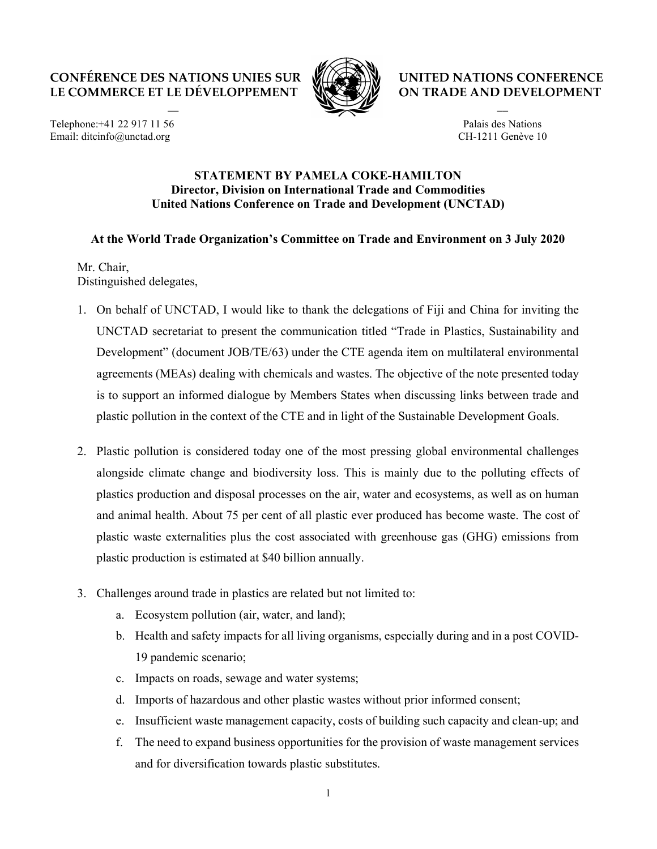## CONFÉRENCE DES NATIONS UNIES SUR LE COMMERCE ET LE DÉVELOPPEMENT

 $\overline{\phantom{a}}$ 



UNITED NATIONS CONFERENCE ON TRADE AND DEVELOPMENT

Telephone:+41 22 917 11 56 Email: ditcinfo@unctad.org

## Palais des Nations CH-1211 Genève 10

 $\overline{\phantom{a}}$ 

## STATEMENT BY PAMELA COKE-HAMILTON Director, Division on International Trade and Commodities United Nations Conference on Trade and Development (UNCTAD)

## At the World Trade Organization's Committee on Trade and Environment on 3 July 2020

Mr. Chair, Distinguished delegates,

- 1. On behalf of UNCTAD, I would like to thank the delegations of Fiji and China for inviting the UNCTAD secretariat to present the communication titled "Trade in Plastics, Sustainability and Development" (document JOB/TE/63) under the CTE agenda item on multilateral environmental agreements (MEAs) dealing with chemicals and wastes. The objective of the note presented today is to support an informed dialogue by Members States when discussing links between trade and plastic pollution in the context of the CTE and in light of the Sustainable Development Goals.
- 2. Plastic pollution is considered today one of the most pressing global environmental challenges alongside climate change and biodiversity loss. This is mainly due to the polluting effects of plastics production and disposal processes on the air, water and ecosystems, as well as on human and animal health. About 75 per cent of all plastic ever produced has become waste. The cost of plastic waste externalities plus the cost associated with greenhouse gas (GHG) emissions from plastic production is estimated at \$40 billion annually.
- 3. Challenges around trade in plastics are related but not limited to:
	- a. Ecosystem pollution (air, water, and land);
	- b. Health and safety impacts for all living organisms, especially during and in a post COVID-19 pandemic scenario;
	- c. Impacts on roads, sewage and water systems;
	- d. Imports of hazardous and other plastic wastes without prior informed consent;
	- e. Insufficient waste management capacity, costs of building such capacity and clean-up; and
	- f. The need to expand business opportunities for the provision of waste management services and for diversification towards plastic substitutes.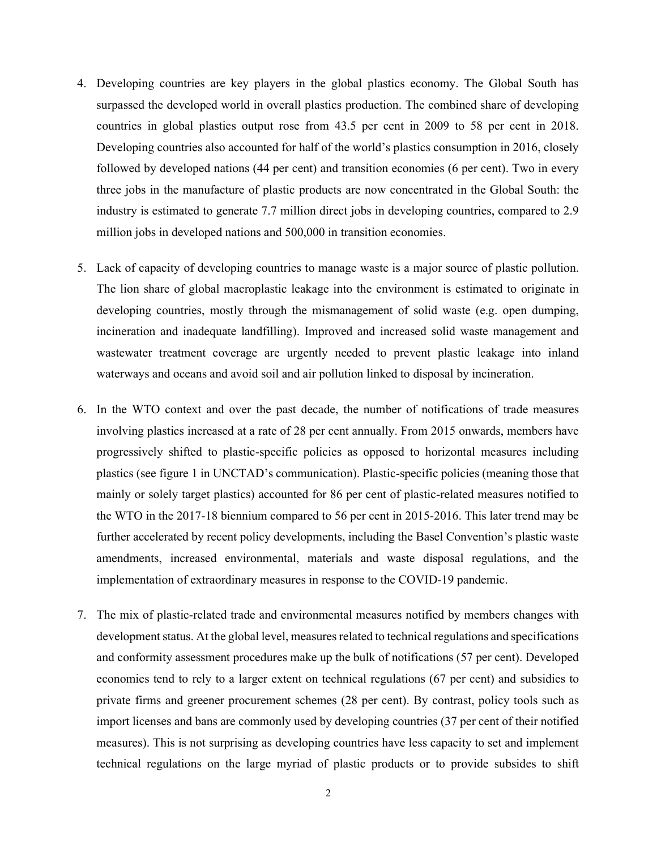- 4. Developing countries are key players in the global plastics economy. The Global South has surpassed the developed world in overall plastics production. The combined share of developing countries in global plastics output rose from 43.5 per cent in 2009 to 58 per cent in 2018. Developing countries also accounted for half of the world's plastics consumption in 2016, closely followed by developed nations (44 per cent) and transition economies (6 per cent). Two in every three jobs in the manufacture of plastic products are now concentrated in the Global South: the industry is estimated to generate 7.7 million direct jobs in developing countries, compared to 2.9 million jobs in developed nations and 500,000 in transition economies.
- 5. Lack of capacity of developing countries to manage waste is a major source of plastic pollution. The lion share of global macroplastic leakage into the environment is estimated to originate in developing countries, mostly through the mismanagement of solid waste (e.g. open dumping, incineration and inadequate landfilling). Improved and increased solid waste management and wastewater treatment coverage are urgently needed to prevent plastic leakage into inland waterways and oceans and avoid soil and air pollution linked to disposal by incineration.
- 6. In the WTO context and over the past decade, the number of notifications of trade measures involving plastics increased at a rate of 28 per cent annually. From 2015 onwards, members have progressively shifted to plastic-specific policies as opposed to horizontal measures including plastics (see figure 1 in UNCTAD's communication). Plastic-specific policies (meaning those that mainly or solely target plastics) accounted for 86 per cent of plastic-related measures notified to the WTO in the 2017-18 biennium compared to 56 per cent in 2015-2016. This later trend may be further accelerated by recent policy developments, including the Basel Convention's plastic waste amendments, increased environmental, materials and waste disposal regulations, and the implementation of extraordinary measures in response to the COVID-19 pandemic.
- 7. The mix of plastic-related trade and environmental measures notified by members changes with development status. At the global level, measures related to technical regulations and specifications and conformity assessment procedures make up the bulk of notifications (57 per cent). Developed economies tend to rely to a larger extent on technical regulations (67 per cent) and subsidies to private firms and greener procurement schemes (28 per cent). By contrast, policy tools such as import licenses and bans are commonly used by developing countries (37 per cent of their notified measures). This is not surprising as developing countries have less capacity to set and implement technical regulations on the large myriad of plastic products or to provide subsides to shift